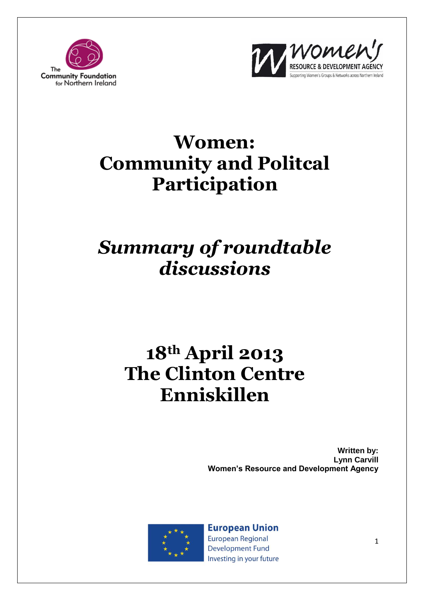



# **Women: Community and Politcal Participation**

# *Summary of roundtable discussions*

# **18th April 2013 The Clinton Centre Enniskillen**

**Written by: Lynn Carvill Women's Resource and Development Agency**



**European Union European Regional Development Fund** Investing in your future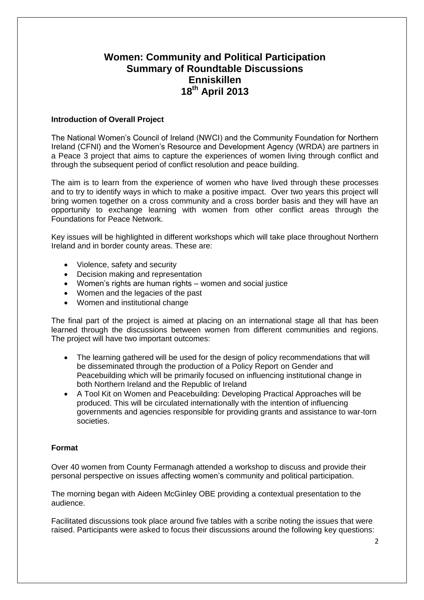# **Women: Community and Political Participation Summary of Roundtable Discussions Enniskillen 18th April 2013**

#### **Introduction of Overall Project**

The National Women's Council of Ireland (NWCI) and the Community Foundation for Northern Ireland (CFNI) and the Women's Resource and Development Agency (WRDA) are partners in a Peace 3 project that aims to capture the experiences of women living through conflict and through the subsequent period of conflict resolution and peace building.

The aim is to learn from the experience of women who have lived through these processes and to try to identify ways in which to make a positive impact. Over two years this project will bring women together on a cross community and a cross border basis and they will have an opportunity to exchange learning with women from other conflict areas through the Foundations for Peace Network.

Key issues will be highlighted in different workshops which will take place throughout Northern Ireland and in border county areas. These are:

- Violence, safety and security
- Decision making and representation
- Women's rights are human rights women and social justice
- Women and the legacies of the past
- Women and institutional change

The final part of the project is aimed at placing on an international stage all that has been learned through the discussions between women from different communities and regions. The project will have two important outcomes:

- The learning gathered will be used for the design of policy recommendations that will be disseminated through the production of a Policy Report on Gender and Peacebuilding which will be primarily focused on influencing institutional change in both Northern Ireland and the Republic of Ireland
- A Tool Kit on Women and Peacebuilding: Developing Practical Approaches will be produced. This will be circulated internationally with the intention of influencing governments and agencies responsible for providing grants and assistance to war-torn societies.

#### **Format**

Over 40 women from County Fermanagh attended a workshop to discuss and provide their personal perspective on issues affecting women's community and political participation.

The morning began with Aideen McGinley OBE providing a contextual presentation to the audience.

Facilitated discussions took place around five tables with a scribe noting the issues that were raised. Participants were asked to focus their discussions around the following key questions: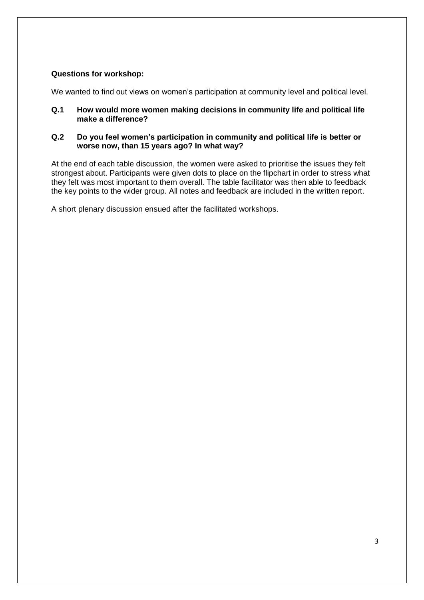# **Questions for workshop:**

We wanted to find out views on women's participation at community level and political level.

#### **Q.1 How would more women making decisions in community life and political life make a difference?**

#### **Q.2 Do you feel women's participation in community and political life is better or worse now, than 15 years ago? In what way?**

At the end of each table discussion, the women were asked to prioritise the issues they felt strongest about. Participants were given dots to place on the flipchart in order to stress what they felt was most important to them overall. The table facilitator was then able to feedback the key points to the wider group. All notes and feedback are included in the written report.

A short plenary discussion ensued after the facilitated workshops.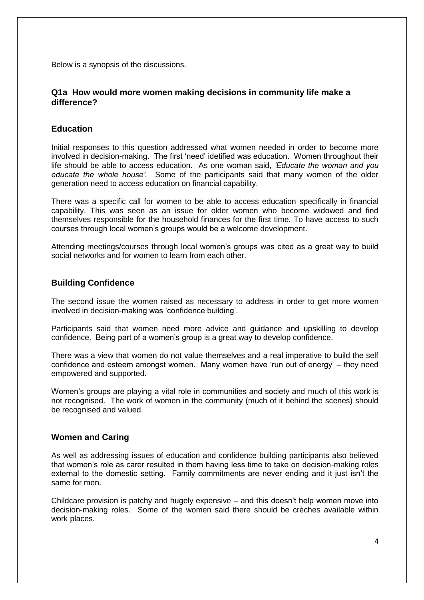Below is a synopsis of the discussions.

# **Q1a How would more women making decisions in community life make a difference?**

# **Education**

Initial responses to this question addressed what women needed in order to become more involved in decision-making. The first 'need' idetified was education. Women throughout their life should be able to access education. As one woman said, *'Educate the woman and you educate the whole house'.* Some of the participants said that many women of the older generation need to access education on financial capability.

There was a specific call for women to be able to access education specifically in financial capability. This was seen as an issue for older women who become widowed and find themselves responsible for the household finances for the first time. To have access to such courses through local women's groups would be a welcome development.

Attending meetings/courses through local women's groups was cited as a great way to build social networks and for women to learn from each other.

# **Building Confidence**

The second issue the women raised as necessary to address in order to get more women involved in decision-making was 'confidence building'.

Participants said that women need more advice and guidance and upskilling to develop confidence. Being part of a women's group is a great way to develop confidence.

There was a view that women do not value themselves and a real imperative to build the self confidence and esteem amongst women. Many women have 'run out of energy' – they need empowered and supported.

Women's groups are playing a vital role in communities and society and much of this work is not recognised. The work of women in the community (much of it behind the scenes) should be recognised and valued.

#### **Women and Caring**

As well as addressing issues of education and confidence building participants also believed that women's role as carer resulted in them having less time to take on decision-making roles external to the domestic setting. Family commitments are never ending and it just isn't the same for men.

Childcare provision is patchy and hugely expensive – and this doesn't help women move into decision-making roles. Some of the women said there should be crèches available within work places.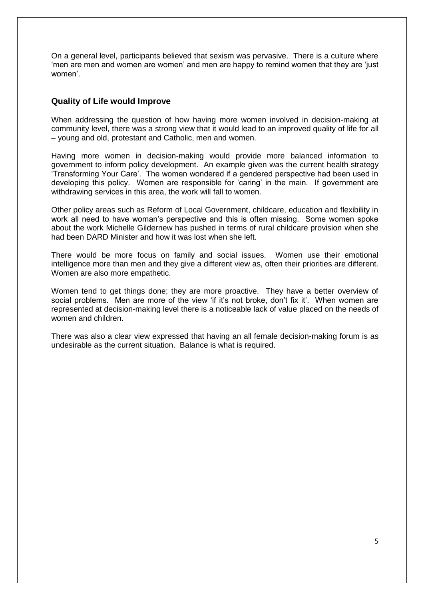On a general level, participants believed that sexism was pervasive. There is a culture where 'men are men and women are women' and men are happy to remind women that they are 'just women'.

#### **Quality of Life would Improve**

When addressing the question of how having more women involved in decision-making at community level, there was a strong view that it would lead to an improved quality of life for all – young and old, protestant and Catholic, men and women.

Having more women in decision-making would provide more balanced information to government to inform policy development. An example given was the current health strategy 'Transforming Your Care'. The women wondered if a gendered perspective had been used in developing this policy. Women are responsible for 'caring' in the main. If government are withdrawing services in this area, the work will fall to women.

Other policy areas such as Reform of Local Government, childcare, education and flexibility in work all need to have woman's perspective and this is often missing. Some women spoke about the work Michelle Gildernew has pushed in terms of rural childcare provision when she had been DARD Minister and how it was lost when she left.

There would be more focus on family and social issues. Women use their emotional intelligence more than men and they give a different view as, often their priorities are different. Women are also more empathetic.

Women tend to get things done; they are more proactive. They have a better overview of social problems. Men are more of the view 'if it's not broke, don't fix it'. When women are represented at decision-making level there is a noticeable lack of value placed on the needs of women and children.

There was also a clear view expressed that having an all female decision-making forum is as undesirable as the current situation. Balance is what is required.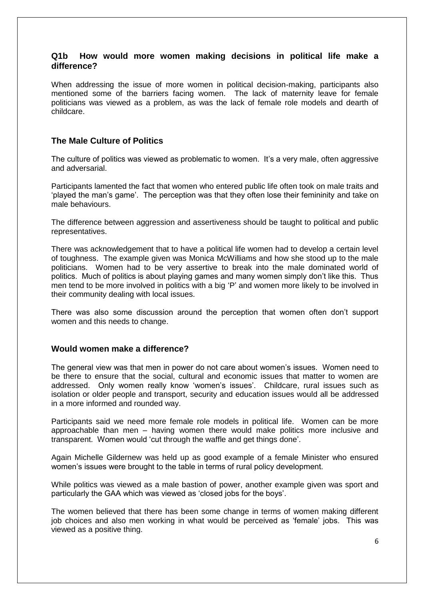### **Q1b How would more women making decisions in political life make a difference?**

When addressing the issue of more women in political decision-making, participants also mentioned some of the barriers facing women. The lack of maternity leave for female politicians was viewed as a problem, as was the lack of female role models and dearth of childcare.

# **The Male Culture of Politics**

The culture of politics was viewed as problematic to women. It's a very male, often aggressive and adversarial.

Participants lamented the fact that women who entered public life often took on male traits and 'played the man's game'. The perception was that they often lose their femininity and take on male behaviours.

The difference between aggression and assertiveness should be taught to political and public representatives.

There was acknowledgement that to have a political life women had to develop a certain level of toughness. The example given was Monica McWilliams and how she stood up to the male politicians. Women had to be very assertive to break into the male dominated world of politics. Much of politics is about playing games and many women simply don't like this. Thus men tend to be more involved in politics with a big 'P' and women more likely to be involved in their community dealing with local issues.

There was also some discussion around the perception that women often don't support women and this needs to change.

#### **Would women make a difference?**

The general view was that men in power do not care about women's issues. Women need to be there to ensure that the social, cultural and economic issues that matter to women are addressed. Only women really know 'women's issues'. Childcare, rural issues such as isolation or older people and transport, security and education issues would all be addressed in a more informed and rounded way.

Participants said we need more female role models in political life. Women can be more approachable than men – having women there would make politics more inclusive and transparent. Women would 'cut through the waffle and get things done'.

Again Michelle Gildernew was held up as good example of a female Minister who ensured women's issues were brought to the table in terms of rural policy development.

While politics was viewed as a male bastion of power, another example given was sport and particularly the GAA which was viewed as 'closed jobs for the boys'.

The women believed that there has been some change in terms of women making different job choices and also men working in what would be perceived as 'female' jobs. This was viewed as a positive thing.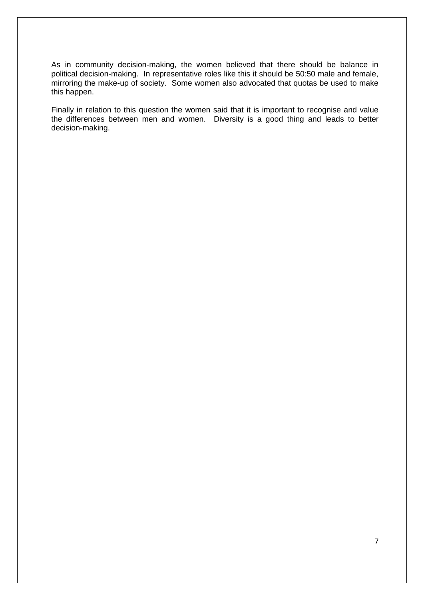As in community decision-making, the women believed that there should be balance in political decision-making. In representative roles like this it should be 50:50 male and female, mirroring the make-up of society. Some women also advocated that quotas be used to make this happen.

Finally in relation to this question the women said that it is important to recognise and value the differences between men and women. Diversity is a good thing and leads to better decision-making.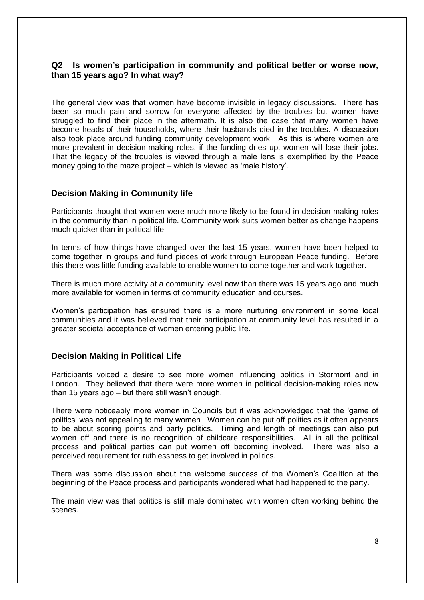# **Q2 Is women's participation in community and political better or worse now, than 15 years ago? In what way?**

The general view was that women have become invisible in legacy discussions. There has been so much pain and sorrow for everyone affected by the troubles but women have struggled to find their place in the aftermath. It is also the case that many women have become heads of their households, where their husbands died in the troubles. A discussion also took place around funding community development work. As this is where women are more prevalent in decision-making roles, if the funding dries up, women will lose their jobs. That the legacy of the troubles is viewed through a male lens is exemplified by the Peace money going to the maze project – which is viewed as 'male history'.

#### **Decision Making in Community life**

Participants thought that women were much more likely to be found in decision making roles in the community than in political life. Community work suits women better as change happens much quicker than in political life.

In terms of how things have changed over the last 15 years, women have been helped to come together in groups and fund pieces of work through European Peace funding. Before this there was little funding available to enable women to come together and work together.

There is much more activity at a community level now than there was 15 years ago and much more available for women in terms of community education and courses.

Women's participation has ensured there is a more nurturing environment in some local communities and it was believed that their participation at community level has resulted in a greater societal acceptance of women entering public life.

#### **Decision Making in Political Life**

Participants voiced a desire to see more women influencing politics in Stormont and in London. They believed that there were more women in political decision-making roles now than 15 years ago – but there still wasn't enough.

There were noticeably more women in Councils but it was acknowledged that the 'game of politics' was not appealing to many women. Women can be put off politics as it often appears to be about scoring points and party politics. Timing and length of meetings can also put women off and there is no recognition of childcare responsibilities. All in all the political process and political parties can put women off becoming involved. There was also a perceived requirement for ruthlessness to get involved in politics.

There was some discussion about the welcome success of the Women's Coalition at the beginning of the Peace process and participants wondered what had happened to the party.

The main view was that politics is still male dominated with women often working behind the scenes.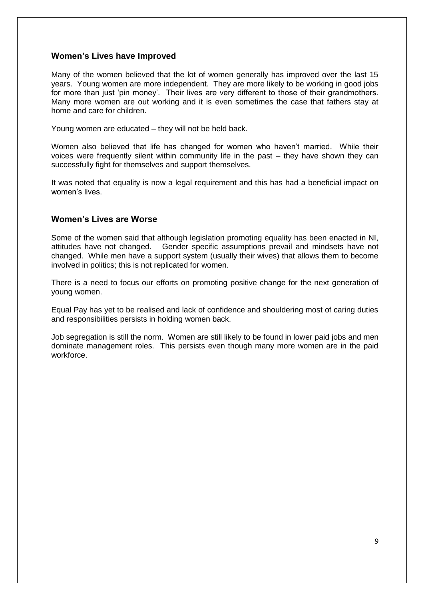# **Women's Lives have Improved**

Many of the women believed that the lot of women generally has improved over the last 15 years. Young women are more independent. They are more likely to be working in good jobs for more than just 'pin money'. Their lives are very different to those of their grandmothers. Many more women are out working and it is even sometimes the case that fathers stay at home and care for children.

Young women are educated – they will not be held back.

Women also believed that life has changed for women who haven't married. While their voices were frequently silent within community life in the past – they have shown they can successfully fight for themselves and support themselves.

It was noted that equality is now a legal requirement and this has had a beneficial impact on women's lives.

# **Women's Lives are Worse**

Some of the women said that although legislation promoting equality has been enacted in NI, attitudes have not changed. Gender specific assumptions prevail and mindsets have not changed. While men have a support system (usually their wives) that allows them to become involved in politics; this is not replicated for women.

There is a need to focus our efforts on promoting positive change for the next generation of young women.

Equal Pay has yet to be realised and lack of confidence and shouldering most of caring duties and responsibilities persists in holding women back.

Job segregation is still the norm. Women are still likely to be found in lower paid jobs and men dominate management roles. This persists even though many more women are in the paid workforce.